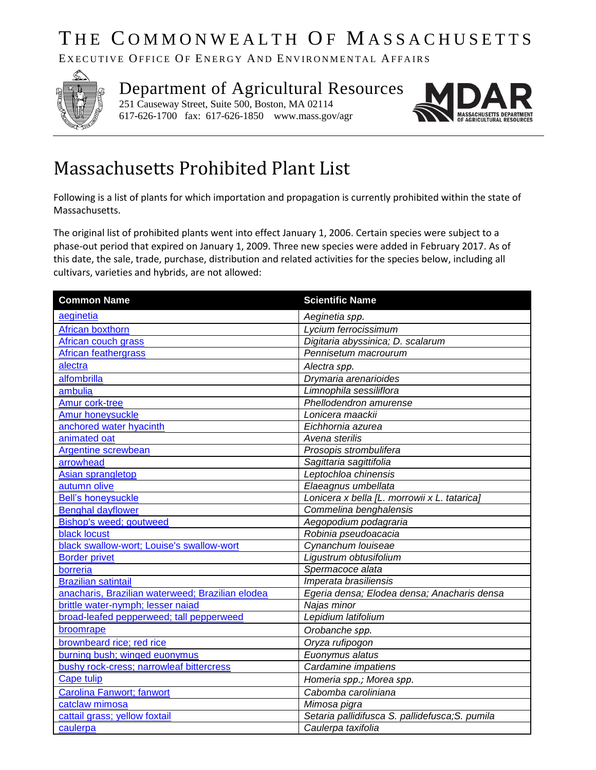## THE COMMONWEALTH OF MASSACHUSETTS

EXECUTIVE OFFICE OF ENERGY AND ENVIRONMENTAL AFFAIRS



## Department of Agricultural Resources

251 Causeway Street, Suite 500, Boston, MA 02114 617-626-1700 fax: 617-626-1850 www.mass.gov/agr



## Massachusetts Prohibited Plant List

Following is a list of plants for which importation and propagation is currently prohibited within the state of Massachusetts.

The original list of prohibited plants went into effect January 1, 2006. Certain species were subject to a phase-out period that expired on January 1, 2009. Three new species were added in February 2017. As of this date, the sale, trade, purchase, distribution and related activities for the species below, including all cultivars, varieties and hybrids, are not allowed:

| <b>Common Name</b>                               | <b>Scientific Name</b>                          |
|--------------------------------------------------|-------------------------------------------------|
| aeginetia                                        | Aeginetia spp.                                  |
| <b>African boxthorn</b>                          | Lycium ferrocissimum                            |
| African couch grass                              | Digitaria abyssinica; D. scalarum               |
| <b>African feathergrass</b>                      | Pennisetum macrourum                            |
| alectra                                          | Alectra spp.                                    |
| alfombrilla                                      | Drymaria arenarioides                           |
| ambulia                                          | Limnophila sessiliflora                         |
| Amur cork-tree                                   | Phellodendron amurense                          |
| <b>Amur honeysuckle</b>                          | Lonicera maackii                                |
| anchored water hyacinth                          | Eichhornia azurea                               |
| animated oat                                     | Avena sterilis                                  |
| <b>Argentine screwbean</b>                       | Prosopis strombulifera                          |
| arrowhead                                        | Sagittaria sagittifolia                         |
| Asian sprangletop                                | Leptochloa chinensis                            |
| autumn olive                                     | Elaeagnus umbellata                             |
| <b>Bell's honeysuckle</b>                        | Lonicera x bella [L. morrowii x L. tatarica]    |
| <b>Benghal dayflower</b>                         | Commelina benghalensis                          |
| Bishop's weed; goutweed                          | Aegopodium podagraria                           |
| <b>black locust</b>                              | Robinia pseudoacacia                            |
| black swallow-wort; Louise's swallow-wort        | Cynanchum Iouiseae                              |
| <b>Border privet</b>                             | Ligustrum obtusifolium                          |
| borreria                                         | Spermacoce alata                                |
| <b>Brazilian satintail</b>                       | Imperata brasiliensis                           |
| anacharis, Brazilian waterweed; Brazilian elodea | Egeria densa; Elodea densa; Anacharis densa     |
| brittle water-nymph; lesser naiad                | Najas minor                                     |
| broad-leafed pepperweed; tall pepperweed         | Lepidium latifolium                             |
| broomrape                                        | Orobanche spp.                                  |
| brownbeard rice; red rice                        | Oryza rufipogon                                 |
| burning bush; winged euonymus                    | Euonymus alatus                                 |
| bushy rock-cress; narrowleaf bittercress         | Cardamine impatiens                             |
| <b>Cape tulip</b>                                | Homeria spp.; Morea spp.                        |
| Carolina Fanwort; fanwort                        | Cabomba caroliniana                             |
| catclaw mimosa                                   | Mimosa pigra                                    |
| cattail grass; yellow foxtail                    | Setaria pallidifusca S. pallidefusca; S. pumila |
| caulerpa                                         | Caulerpa taxifolia                              |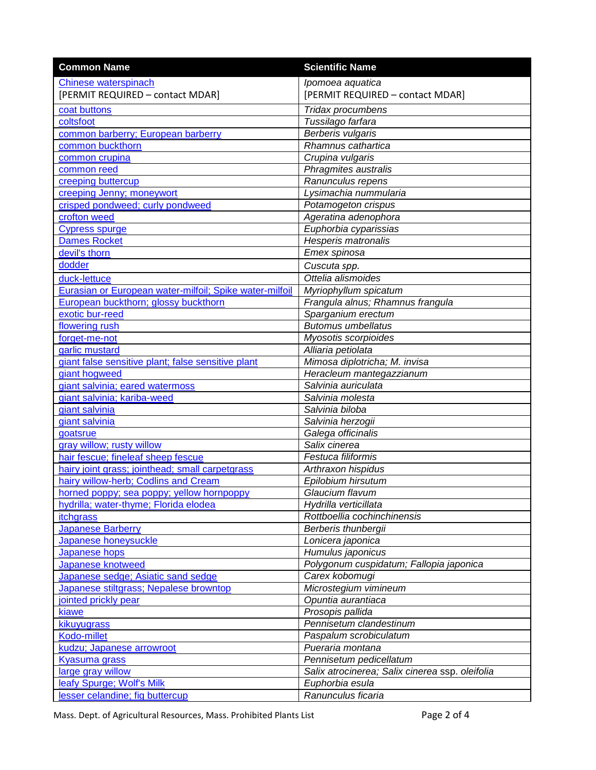| <b>Common Name</b>                                      | <b>Scientific Name</b>                          |
|---------------------------------------------------------|-------------------------------------------------|
| Chinese waterspinach                                    | Ipomoea aquatica                                |
| [PERMIT REQUIRED - contact MDAR]                        | [PERMIT REQUIRED - contact MDAR]                |
| coat buttons                                            | Tridax procumbens                               |
| coltsfoot                                               | Tussilago farfara                               |
| common barberry; European barberry                      | Berberis vulgaris                               |
| common buckthorn                                        | Rhamnus cathartica                              |
| common crupina                                          | Crupina vulgaris                                |
| common reed                                             | Phragmites australis                            |
| creeping buttercup                                      | Ranunculus repens                               |
| creeping Jenny; moneywort                               | Lysimachia nummularia                           |
| crisped pondweed; curly pondweed                        | Potamogeton crispus                             |
| crofton weed                                            | Ageratina adenophora                            |
| <b>Cypress spurge</b>                                   | Euphorbia cyparissias                           |
| <b>Dames Rocket</b>                                     | Hesperis matronalis                             |
| devil's thorn                                           | Emex spinosa                                    |
| dodder                                                  | Cuscuta spp.                                    |
| duck-lettuce                                            | Ottelia alismoides                              |
| Eurasian or European water-milfoil; Spike water-milfoil | Myriophyllum spicatum                           |
| European buckthorn; glossy buckthorn                    | Frangula alnus; Rhamnus frangula                |
| exotic bur-reed                                         | Sparganium erectum                              |
| flowering rush                                          | <b>Butomus umbellatus</b>                       |
| forget-me-not                                           | Myosotis scorpioides                            |
| garlic mustard                                          | Alliaria petiolata                              |
| giant false sensitive plant; false sensitive plant      | Mimosa diplotricha; M. invisa                   |
| giant hogweed                                           | Heracleum mantegazzianum                        |
| giant salvinia; eared watermoss                         | Salvinia auriculata                             |
| giant salvinia; kariba-weed                             | Salvinia molesta                                |
| giant salvinia                                          | Salvinia biloba                                 |
| giant salvinia                                          | Salvinia herzogii                               |
| goatsrue                                                | Galega officinalis                              |
| gray willow; rusty willow                               | Salix cinerea                                   |
| hair fescue; fineleaf sheep fescue                      | Festuca filiformis                              |
| hairy joint grass; jointhead; small carpetgrass         | Arthraxon hispidus                              |
| hairy willow-herb; Codlins and Cream                    | Epilobium hirsutum                              |
| horned poppy; sea poppy; yellow hornpoppy               | Glaucium flavum                                 |
| hydrilla; water-thyme; Florida elodea                   | Hydrilla verticillata                           |
| itchgrass                                               | Rottboellia cochinchinensis                     |
| <b>Japanese Barberry</b>                                | Berberis thunbergii                             |
| Japanese honeysuckle                                    | Lonicera japonica                               |
| Japanese hops                                           | Humulus japonicus                               |
| Japanese knotweed                                       | Polygonum cuspidatum; Fallopia japonica         |
| Japanese sedge; Asiatic sand sedge                      | Carex kobomugi                                  |
| Japanese stiltgrass; Nepalese browntop                  | Microstegium vimineum                           |
| jointed prickly pear                                    | Opuntia aurantiaca                              |
| kiawe                                                   | Prosopis pallida                                |
| kikuyugrass                                             | Pennisetum clandestinum                         |
| Kodo-millet                                             | Paspalum scrobiculatum                          |
| kudzu; Japanese arrowroot                               | Pueraria montana                                |
| <b>Kyasuma grass</b>                                    | Pennisetum pedicellatum                         |
| large gray willow                                       | Salix atrocinerea; Salix cinerea ssp. oleifolia |
| leafy Spurge; Wolf's Milk                               | Euphorbia esula                                 |
| lesser celandine; fig buttercup                         | Ranunculus ficaria                              |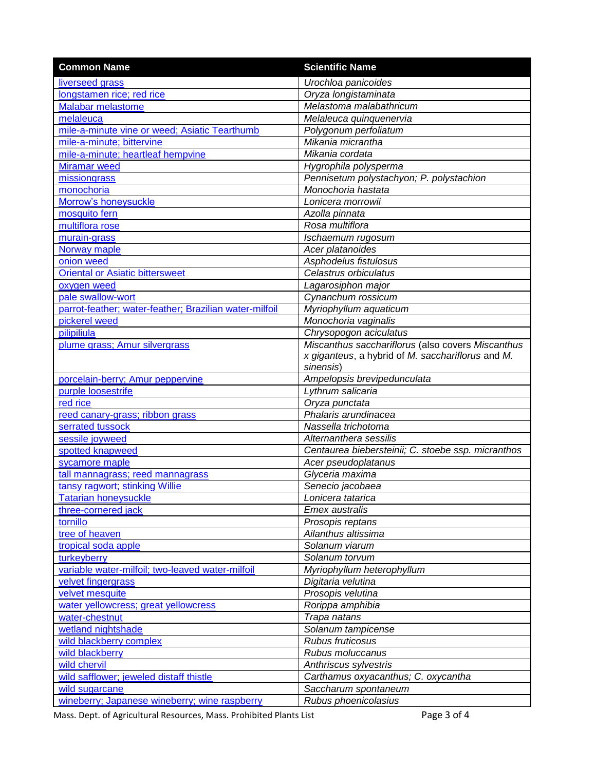| <b>Common Name</b>                                     | <b>Scientific Name</b>                             |
|--------------------------------------------------------|----------------------------------------------------|
| liverseed grass                                        | Urochloa panicoides                                |
| longstamen rice; red rice                              | Oryza longistaminata                               |
| <b>Malabar melastome</b>                               | Melastoma malabathricum                            |
| melaleuca                                              | Melaleuca quinquenervia                            |
| mile-a-minute vine or weed; Asiatic Tearthumb          | Polygonum perfoliatum                              |
| mile-a-minute; bittervine                              | Mikania micrantha                                  |
| mile-a-minute; heartleaf hempvine                      | Mikania cordata                                    |
| <b>Miramar</b> weed                                    | Hygrophila polysperma                              |
| missiongrass                                           | Pennisetum polystachyon; P. polystachion           |
| monochoria                                             | Monochoria hastata                                 |
| Morrow's honeysuckle                                   | Lonicera morrowii                                  |
| mosquito fern                                          | Azolla pinnata                                     |
| multiflora rose                                        | Rosa multiflora                                    |
| murain-grass                                           | Ischaemum rugosum                                  |
| Norway maple                                           | Acer platanoides                                   |
| onion weed                                             | Asphodelus fistulosus                              |
| <b>Oriental or Asiatic bittersweet</b>                 | Celastrus orbiculatus                              |
| oxygen weed                                            | Lagarosiphon major                                 |
| pale swallow-wort                                      | Cynanchum rossicum                                 |
| parrot-feather; water-feather; Brazilian water-milfoil | Myriophyllum aquaticum                             |
| pickerel weed                                          | Monochoria vaginalis                               |
| pilipiliula                                            | Chrysopogon aciculatus                             |
| plume grass; Amur silvergrass                          | Miscanthus sacchariflorus (also covers Miscanthus  |
|                                                        | x giganteus, a hybrid of M. sacchariflorus and M.  |
|                                                        | sinensis)                                          |
| porcelain-berry; Amur peppervine                       | Ampelopsis brevipedunculata                        |
| purple loosestrife                                     | Lythrum salicaria                                  |
| red rice                                               | Oryza punctata                                     |
| reed canary-grass; ribbon grass                        | Phalaris arundinacea                               |
| serrated tussock                                       | Nassella trichotoma                                |
| sessile joyweed                                        | Alternanthera sessilis                             |
| spotted knapweed                                       | Centaurea biebersteinii; C. stoebe ssp. micranthos |
| sycamore maple                                         | Acer pseudoplatanus                                |
| tall mannagrass; reed mannagrass                       | Glyceria maxima                                    |
| tansy ragwort; stinking Willie                         | Senecio jacobaea                                   |
| Tatarian honeysuckle                                   | Lonicera tatarica                                  |
| three-cornered jack                                    | Emex australis                                     |
| tornillo                                               | Prosopis reptans                                   |
| tree of heaven                                         | Ailanthus altissima                                |
| tropical soda apple                                    | Solanum viarum                                     |
| turkeyberry                                            | Solanum torvum                                     |
| variable water-milfoil; two-leaved water-milfoil       | Myriophyllum heterophyllum                         |
| velvet fingergrass                                     | Digitaria velutina                                 |
| velvet mesquite                                        | Prosopis velutina                                  |
| water yellowcress; great yellowcress                   | Rorippa amphibia                                   |
| water-chestnut                                         | Trapa natans                                       |
| wetland nightshade                                     | Solanum tampicense                                 |
| wild blackberry complex                                | Rubus fruticosus                                   |
| wild blackberry                                        | Rubus moluccanus                                   |
| wild chervil                                           | Anthriscus sylvestris                              |
| wild safflower; jeweled distaff thistle                | Carthamus oxyacanthus; C. oxycantha                |
| wild sugarcane                                         | Saccharum spontaneum                               |
| wineberry; Japanese wineberry; wine raspberry          | Rubus phoenicolasius                               |
|                                                        |                                                    |

Mass. Dept. of Agricultural Resources, Mass. Prohibited Plants List Page 3 of 4